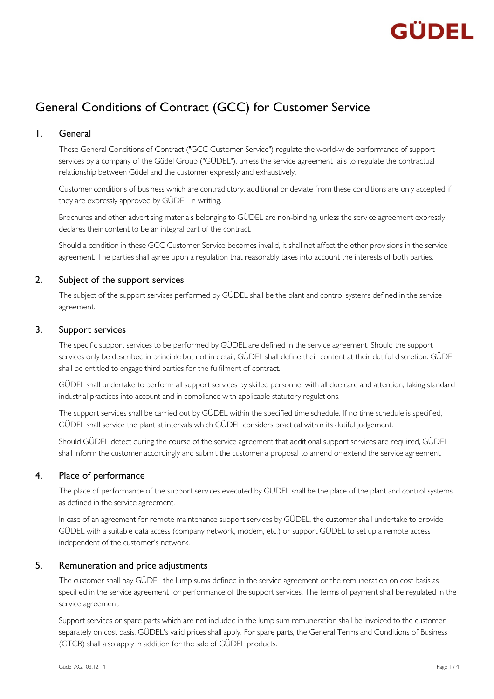# GÜDFI

# General Conditions of Contract (GCC) for Customer Service

# 1. General

These General Conditions of Contract ("GCC Customer Service") regulate the world-wide performance of support services by a company of the Güdel Group ("GÜDEL"), unless the service agreement fails to regulate the contractual relationship between Güdel and the customer expressly and exhaustively.

Customer conditions of business which are contradictory, additional or deviate from these conditions are only accepted if they are expressly approved by GÜDEL in writing.

Brochures and other advertising materials belonging to GÜDEL are non-binding, unless the service agreement expressly declares their content to be an integral part of the contract.

Should a condition in these GCC Customer Service becomes invalid, it shall not affect the other provisions in the service agreement. The parties shall agree upon a regulation that reasonably takes into account the interests of both parties.

# 2. Subject of the support services

The subject of the support services performed by GÜDEL shall be the plant and control systems defined in the service agreement.

### 3. Support services

The specific support services to be performed by GÜDEL are defined in the service agreement. Should the support services only be described in principle but not in detail, GÜDEL shall define their content at their dutiful discretion. GÜDEL shall be entitled to engage third parties for the fulfilment of contract.

GÜDEL shall undertake to perform all support services by skilled personnel with all due care and attention, taking standard industrial practices into account and in compliance with applicable statutory regulations.

The support services shall be carried out by GÜDEL within the specified time schedule. If no time schedule is specified, GÜDEL shall service the plant at intervals which GÜDEL considers practical within its dutiful judgement.

Should GÜDEL detect during the course of the service agreement that additional support services are required, GÜDEL shall inform the customer accordingly and submit the customer a proposal to amend or extend the service agreement.

# 4. Place of performance

The place of performance of the support services executed by GÜDEL shall be the place of the plant and control systems as defined in the service agreement.

In case of an agreement for remote maintenance support services by GÜDEL, the customer shall undertake to provide GÜDEL with a suitable data access (company network, modem, etc.) or support GÜDEL to set up a remote access independent of the customer's network.

# 5. Remuneration and price adjustments

The customer shall pay GÜDEL the lump sums defined in the service agreement or the remuneration on cost basis as specified in the service agreement for performance of the support services. The terms of payment shall be regulated in the service agreement.

Support services or spare parts which are not included in the lump sum remuneration shall be invoiced to the customer separately on cost basis. GÜDEL's valid prices shall apply. For spare parts, the General Terms and Conditions of Business (GTCB) shall also apply in addition for the sale of GÜDEL products.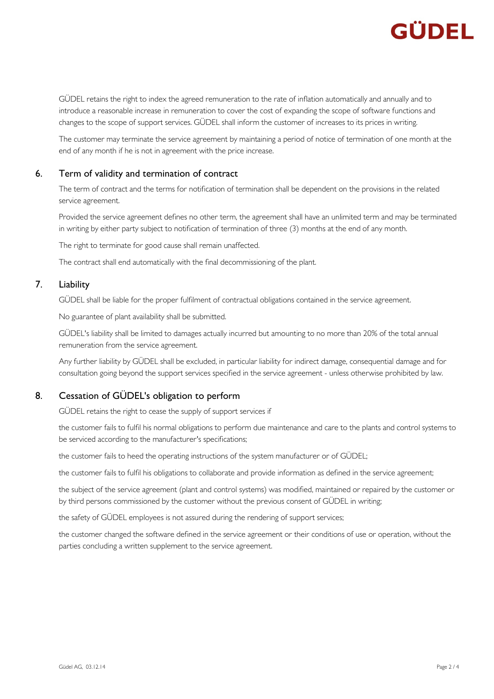

GÜDEL retains the right to index the agreed remuneration to the rate of inflation automatically and annually and to introduce a reasonable increase in remuneration to cover the cost of expanding the scope of software functions and changes to the scope of support services. GÜDEL shall inform the customer of increases to its prices in writing.

The customer may terminate the service agreement by maintaining a period of notice of termination of one month at the end of any month if he is not in agreement with the price increase.

### 6. Term of validity and termination of contract

The term of contract and the terms for notification of termination shall be dependent on the provisions in the related service agreement.

Provided the service agreement defines no other term, the agreement shall have an unlimited term and may be terminated in writing by either party subject to notification of termination of three (3) months at the end of any month.

The right to terminate for good cause shall remain unaffected.

The contract shall end automatically with the final decommissioning of the plant.

### 7. Liability

GÜDEL shall be liable for the proper fulfilment of contractual obligations contained in the service agreement.

No guarantee of plant availability shall be submitted.

GÜDEL's liability shall be limited to damages actually incurred but amounting to no more than 20% of the total annual remuneration from the service agreement.

Any further liability by GÜDEL shall be excluded, in particular liability for indirect damage, consequential damage and for consultation going beyond the support services specified in the service agreement - unless otherwise prohibited by law.

### 8. Cessation of GÜDEL's obligation to perform

GÜDEL retains the right to cease the supply of support services if

the customer fails to fulfil his normal obligations to perform due maintenance and care to the plants and control systems to be serviced according to the manufacturer's specifications;

the customer fails to heed the operating instructions of the system manufacturer or of GÜDEL;

the customer fails to fulfil his obligations to collaborate and provide information as defined in the service agreement;

the subject of the service agreement (plant and control systems) was modified, maintained or repaired by the customer or by third persons commissioned by the customer without the previous consent of GÜDEL in writing;

the safety of GÜDEL employees is not assured during the rendering of support services;

the customer changed the software defined in the service agreement or their conditions of use or operation, without the parties concluding a written supplement to the service agreement.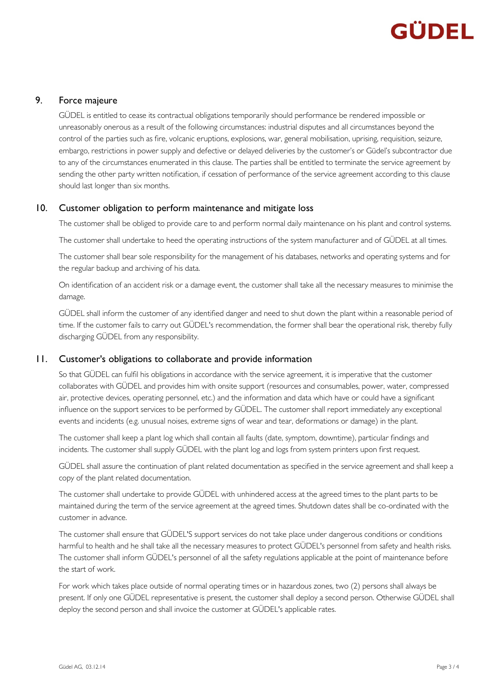# GÜDEL

### 9. Force majeure

GÜDEL is entitled to cease its contractual obligations temporarily should performance be rendered impossible or unreasonably onerous as a result of the following circumstances: industrial disputes and all circumstances beyond the control of the parties such as fire, volcanic eruptions, explosions, war, general mobilisation, uprising, requisition, seizure, embargo, restrictions in power supply and defective or delayed deliveries by the customer's or Güdel's subcontractor due to any of the circumstances enumerated in this clause. The parties shall be entitled to terminate the service agreement by sending the other party written notification, if cessation of performance of the service agreement according to this clause should last longer than six months.

### 10. Customer obligation to perform maintenance and mitigate loss

The customer shall be obliged to provide care to and perform normal daily maintenance on his plant and control systems.

The customer shall undertake to heed the operating instructions of the system manufacturer and of GÜDEL at all times.

The customer shall bear sole responsibility for the management of his databases, networks and operating systems and for the regular backup and archiving of his data.

On identification of an accident risk or a damage event, the customer shall take all the necessary measures to minimise the damage.

GÜDEL shall inform the customer of any identified danger and need to shut down the plant within a reasonable period of time. If the customer fails to carry out GÜDEL's recommendation, the former shall bear the operational risk, thereby fully discharging GÜDEL from any responsibility.

# 11. Customer's obligations to collaborate and provide information

So that GÜDEL can fulfil his obligations in accordance with the service agreement, it is imperative that the customer collaborates with GÜDEL and provides him with onsite support (resources and consumables, power, water, compressed air, protective devices, operating personnel, etc.) and the information and data which have or could have a significant influence on the support services to be performed by GÜDEL. The customer shall report immediately any exceptional events and incidents (e.g. unusual noises, extreme signs of wear and tear, deformations or damage) in the plant.

The customer shall keep a plant log which shall contain all faults (date, symptom, downtime), particular findings and incidents. The customer shall supply GÜDEL with the plant log and logs from system printers upon first request.

GÜDEL shall assure the continuation of plant related documentation as specified in the service agreement and shall keep a copy of the plant related documentation.

The customer shall undertake to provide GÜDEL with unhindered access at the agreed times to the plant parts to be maintained during the term of the service agreement at the agreed times. Shutdown dates shall be co-ordinated with the customer in advance.

The customer shall ensure that GÜDEL'S support services do not take place under dangerous conditions or conditions harmful to health and he shall take all the necessary measures to protect GÜDEL's personnel from safety and health risks. The customer shall inform GÜDEL's personnel of all the safety regulations applicable at the point of maintenance before the start of work.

For work which takes place outside of normal operating times or in hazardous zones, two (2) persons shall always be present. If only one GÜDEL representative is present, the customer shall deploy a second person. Otherwise GÜDEL shall deploy the second person and shall invoice the customer at GÜDEL's applicable rates.